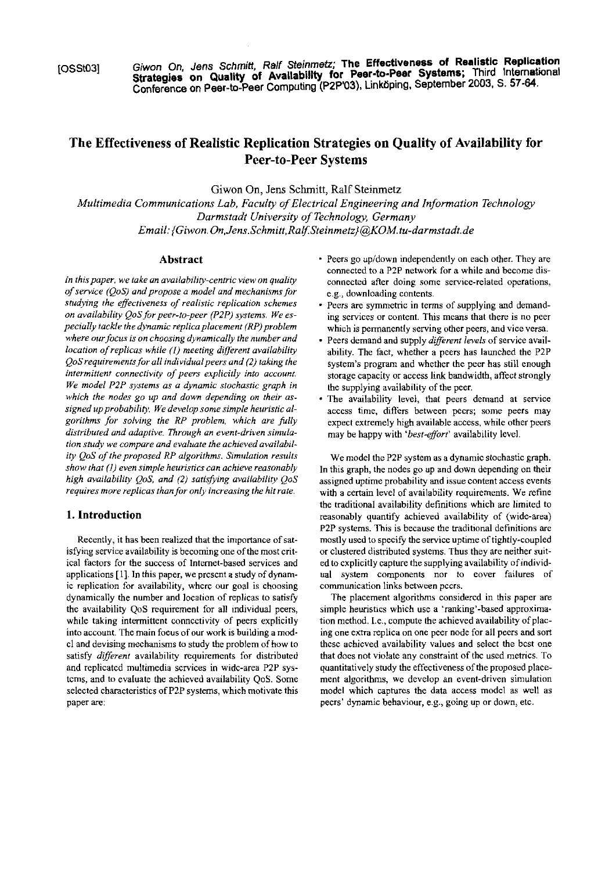**[OSSt03] Giwon On, Jens Schmitt, Ralf Steinmetz; The Effectiveness of Realistic Replication**  Strategies on Quality of Availability for Peer-to-Peer September 2003 S. 57-64 **Conference on Peer-to-Peer Computing (P2P103), Linköping. September 2003. S. 57-64.** 

# **The Effectiveness of Realistic Replication Strategies on Quality of Availability for Peer-to-Peer Systems**

Giwon On, Jens Schmitt, Ralf Steinmetz

*Multimedia Communications Lab, Faculty of Electrical Engineering and Information Technology Darmstadi University of Technologv, Germany Email: {Giwon.* **On,Jens.Schmitt,Ra~Steinmetz}@KOM.tu-darmstadt.de** 

## **Abstract**

*in thispaper. we take an availabilig-centric view on qualiry of service (QoS) and propose a model and mechanisms for stirdying the effectiveness* **of** *realistic replication schemes on availability QoS for peer-to-peer (P2P) systems. We especially tackle the dynamic replica placement (RP) problem* where our focus is on choosing dynamically the number and *location of replicas while (I) meeting different availabiliry QoSrequirernentsfor all individualpeers and (2) laking the intermittent connectivity of peers explicitly into account. We model PZP systems as a dynamic stochasric graph in*  which the nodes go up and down depending on their assigned up probability. We develop some simple heuristic al*gorithms for solving the RP probleni, which are fully*  distributed and adaptive. Through an event-driven simulation study we compare and evaluate the achieved availabil*iQ QoS of fheproposed* **RP** *algorithms. Simirlation results show that (I) even simple heurisfics can achieve reasonably*  high availability QoS, and (2) satisfying availability QoS *requires more replicas than for only increasing the hit rate.* 

# *1.* **Introduction**

Recently, it has been realized that the importance of satisfying service availability is becoming one of the most critical factors for the success of Intemet-based services and applications [I]. In this paper, we prcscnt a study of dynamic replication for availability, whcrc our goal is choosing dynamically the number and location of replicas to satisfy the availability QoS requirement for all individual peers, while taking intermittent connectivity of peers explicitly into account. The main foeus of our work is building a modcl and devising mechanisms to study the problem of how to satisfy *different* availability requirements for distributed and replicatcd multimedia scrvices in widc-area P2P systcms, and to evaluate the achieved availability QoS. Some selected characteristics of P2P systems, which motivate this paper are:

- Peers go up/down independently on each other. They are connected to a P2P network for a while and hecome disconnected after doing some service-related operations, e.g., downloading contents.
- Peers are symmetric in terms of supplying and demanding services or content. This means that there is no peer which is permanently serving other peers, and vice versa.
- Peers demand and supply *different levels* of service availahility. The fact, whether a peers has launched the P2P system's program and whether the peer has still enough storage capacity or access link bandwidth, affect strongly the supplying availability of the peer.
- The availability level, that peers dernand at service acccss time, differs between pecrs; some peers may expect extremely high available access, while other peers may be happy with *'best-effort'* availability level.

We model the P2P system as a dynamic stochastic graph. In this graph, the nodes go up and down depending on their assigned uptime probability and issue content access events with a certain level of availability requirements. We refine the traditional availability definitions which are limited to reasonably quantify achieved availability of (wide-area) P2P systems. This is because the traditional definitions are mostly used to specify the service uptime of tightly-coupled or clustered distributed systems. Thus they are neither suited to cxplicitly capture the supplying availability ofindividual system components nor to eover failures of communication links between pccrs.

The placement algorithms considered in this paper are simple heunstics which use a 'ranking'-hased approximation method. I.e., compute the achieved availability of placing one extra replica on one peer node for all peers and sort thcsc achicved availability values and select the bcst one that does not violate any constraint of thc used metrics. To quantitatively study the effectiveness of the proposed placement algorithms, we develop an event-driven simulation model which captures the data access modcl as well as pecrs' dynarnic hehaviour, e.g., going up or down, etc.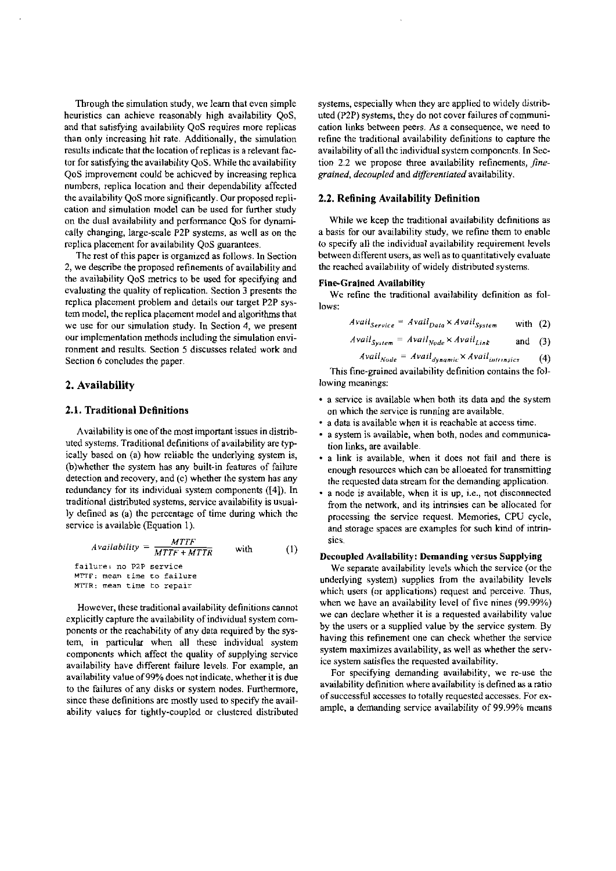Through the simulation study, we leam that even simple heuristics can achieve reasonably high availability QoS, and that satisfying availability QoS requires more replicas than only increasing hit rate. Additionally, the simulation results indicate that the location of replicas is a relevant factor for satisfying the availability QoS. While thc availability QoS improvement could be achicved by increasing replica numbers, replica location and their dependability affected the availability QoS more significantly. Our proposed replication and simulation model can be used for further study on the dual availability and perfomance QoS for dynamically changing, large-scale P2P systems, as well as on the replica placement for availability QoS guarantees.

The rest of this paper is organized as follows. In Section 2, we describe the proposed retinements of availability and the availability QoS metrics tobe used for specifying and evaluating the quality of replication. Section 3 presents the replica placement problem and details our target P2P system model, the replica placement model and algorithms that we use for our simulation study. In Section 4, we present our implementation methods including the simulation environment and results. Section 5 discusses related work and Section 6 concludes the paper.

### **2. Availability**

# **2.1. Traditional Definitions**

Availability is one of the most important issues in distributed systems. Traditional definitions of availability are typically based on (a) how reliable the underlying system is, (b)whether the system has any built-in features of failure detection and recovery, and (C) whether ihe system has any redundancy for its individual system components ([4]). In traditional distributed systems, service availability is usually defined as (a) the percentage of time during which the service is available (Equation 1).

*Availability* = 
$$
\frac{MTTF}{MTTF + MTTR}
$$
 with  
failure: no P2P service  
MTTF: mean time to failure  
MTTR: mean time to repair

However, these traditional availability definitions cannot explicitly capture the availability of individual system components or the reachability of any data required by the system, in particular when all these individual system components which affect the quality of supplying service availability have different failure levels. For example, an availability value of 99% does not indicate. whether it is due to the failures of any disks or system nodes. Furthermore, since these definitions are mostly used to specify the availability values for tightly-coupled or clustered distributed systems, especially when they are applied to widely distributed (P2P) systems, they do not Cover failures of communication links between peers. As a consequence, we need to refine the traditional availability definitions to capture the availability of all thc individual system componcnts. In Section 2.2 we propose three availability refinements, **finegrained, decoupled** and **drferenriared** availability.

### **2.2. Refining Availabiiity Definition**

While we kcep the traditional availability definitions as a basis for our availability study, we refine them to enable to specify all the individual availability requirement levels between different users, as well as to quantitatively evaluate the reached availability of widely distributed systems.

### Fine-Grained Availability

We refine the traditional availability definition as follows:

$$
Avail_{Service} = Avail_{Data} \times Avail_{System} \qquad \text{with} \quad (2)
$$

$$
Avail_{System} = Avail_{Node} \times Avail_{Link} \qquad \text{and} \quad (3)
$$

$$
Avail_{Node} = Avall_{dynamic} \times Avall_{intrinsics} \qquad (4)
$$

This fine-grained availability definition contains the following meanings:

- . a service is available when both its data and the system on which the service is mnning are available.
- a data is available when it is reachable at access time.
- a system is available, when both, nodes and communication links, are available.
- a link is available, when it does not fail and there is enough resources which can be alloeated for transmitting the requested data stream for the demanding application.
- . a node is available, when it is up, i.e., not disconnected from the network, and its intrinsies can be allocated for processing the setvice request. Memories, CPU cycle, and storage spaces are examples for such kind of intrinsics.

### Decoupled Availability: Demanding versus Supplying

We separate availability levels which the service (or the underlying system) supplies from the availability levels which users (or applications) request and perceive. Thus, when we have an availability level of five nines (99.99%) we can declare whether it is a requested availability value by the users or a supplied value by the service system. By having this refinement one can check whether the service system maximizes availability, as well as whether the service system satisfies the requested availability.

For specifying demanding availability, we re-use the availability definition where availability is defined **as** aratio of successful accesses to totally requested accesses. For example, a demanding service availability of 99.99% means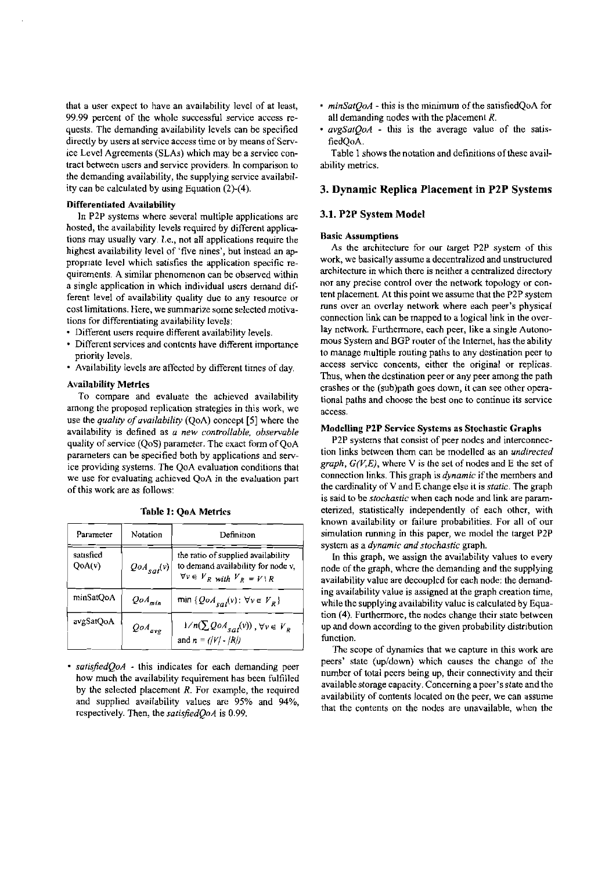that a user expect to have an availability level of at least, 99.99 percent of the whole successful service access requests. The demanding availability levels can be specified directly by users at service access time or by means of Service Level Agreements (SLAs) which may be a serviee contract between users and service providers. In comparison to the demanding availability, the supplying service availability can be calculated by using Equation (2)-(4).

#### Differentiated Availability

In P2P systems where several multiple applications are hosted, the availability levels required by different applications may usually vary I.e., not all applications require the highest availability level of 'five nines', but instead an appropriate level which satisfies the application specific requirements. A similar phenomenon can be observed within a single application in which individual users demand different level of availability quality due to any resource or cost limitations. Here, we surnrnarize some selected motivations for differentiating availability levels:

- Different users require different availability levels.
- Different services and contents have different importance priority levels.
- Availability levels are affected by different tirnes of day.

#### Availability Metrlcs

To compare and evaluate the achieved availability among the proposed replication strategies in this work, we use the quality of availability (QoA) concept  $[5]$  where the availability is defined as  $a$  new controllable, observable quality of service (QoS) Parameter. The exact form of QoA parameters can be specified both by applications and service providing Systems. The QoA evaluation conditions that **we** use for evaluating achieved QoA in the evaluation pan of this work are as follows:

| Parameter           | Notation              | Definition                                                                                                                  |
|---------------------|-----------------------|-----------------------------------------------------------------------------------------------------------------------------|
| satisfied<br>OoA(v) | $QoA_{\text{sat}}(v)$ | the ratio of supplied availability<br>to demand availability for node v.<br>$\forall v \in V_R$ with $V_R = V \backslash R$ |
| minSatQoA           | $QoA_{min}$           | min $\{Q \circ A_{sat}(v): \forall v \in V_R\}$                                                                             |
| avgSatQoA           | $QoA_{avg}$           | $1/n(\sum Q \circ A_{sat}(v))$ , $\forall v \in V_R$<br>and $n = ( V  -  R )$                                               |

Table 1: QoA Metrics

 $\cdot$  satisfied $QoA$  - this indicates for each demanding peer how much the availability requirement has been fulfilled by the selected placement  $R$ . For example, the required and supplied availability values **are** 95% and 94%, respectively. Then, the satisfied $Q$ oA is 0.99.

- $\cdot$  minSatOoA this is the minimum of the satisfiedQoA for all demanding nodes with the placement  $R$ .
- $avgSatQoA$  this is the average value of the satisfiedOoA.

Table 1 shows the notation and definitions of these availability metrics.

# **3. Dynamic Replica Placement in P2P Systems**

### **3.1. P2P** System **Model**

### Basic Assumptions

As the architecture for our target P2P system of this work, we basically assume a decentralized and unstructured architecture in which there is neither a centralized directory nor any precise control over the network topology or content placement. At this point we assume that the P2P System mns over an overlay network where each peer's physical connection link can be mapped to a logical link in the overlay network. Furthermore, each peer, like a single Autonomous System and BGP router of the Intemet, has the ability 10 manage multiple routing paths to any destination peer to access servicc concents, either the original or replicas. Thus, when the destination peer or any peer among the path crashes or the (sub)path goes down, it can see other operational paths and choose the best one to continue its service access.

### Modelling **P2P** Service Systems as Stochastic Graphs

P2P systems that consist of peer nodcs and interconnection links between them can be modelled **as** an undirecfed graph,  $G(V, E)$ , where V is the set of nodes and E the set of connection links. This graph is dynamic if the members and the cardinality of  $V$  and  $E$  change else it is *static*. The graph is said to be *stochastic* when each node and link are parameterized, statistically independently of each other, with known availability or failure probabilities. For all of our simulation running in this paper, we model the target P2P system as a dynamic and stochastic graph.

In this graph, we assign the availability values to every node of the graph, where the demanding and the supplying availability value are decouplcd for each node: the demanding availability value is assigned at the graph creation time, while the supplying availability valuc is calculated by Equation (4). Furthermore, the nodes change their state between up and down according to the given probability distribution function.

The scope of dynamics that we capture in this work are peers' siate (upldown) which causes the change of the number of total peers being up, their connectivity and their available storage capacity. Concerning a peer's state and the availability of contents located on the peer, we can assume that the contents on the nodes are unavailable, when the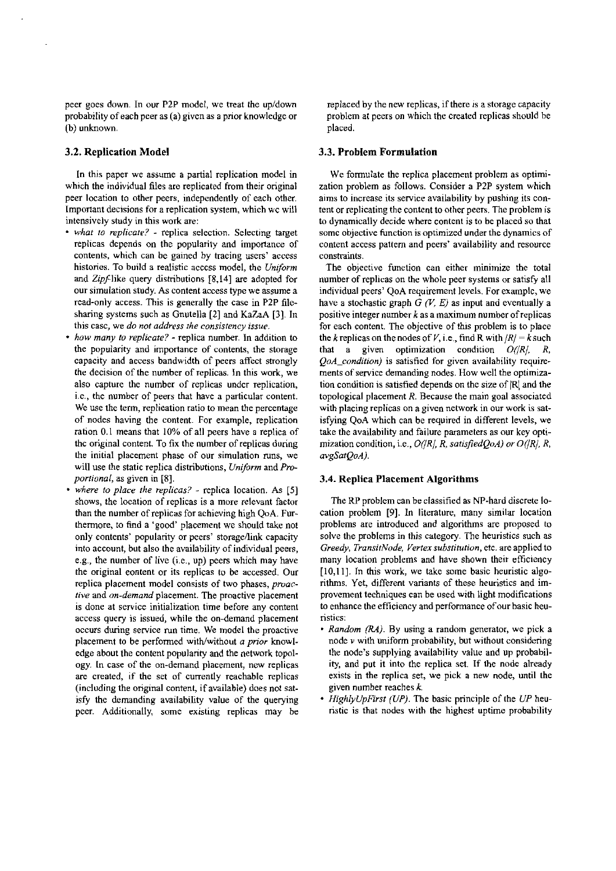peer goes down. In our P2P model, we treat the up/down probability of each peer **ar,** (a) given as a prior knowledge or (b) unknown.

# **3.2. Replication Model**

In this paper we assume a partial replication model in which the individual files are replicated from their original peer location to other peers, independently of each other. Important decisions for a replication system, which wc will intensively study in this work are:

- · what to replicate? replica selection. Selecting target replicas dcpends on the popularity and importance of contents, which can be gained by tracing users' access histories. To build a realistic acccss model, the Uniform and ZipFlike query distributions [8,14] **are** adopted for our simulation study. As content access type we assume a read-only access. This is generally the case in P2P filesharing systems such as Gnutella [2] and KaZaA **[3].** In this casc, we do not address the consistency issue.
- how many to replicate? replica number. In addition to the popularity and importance of contents, the storage capacity and access bandwidth of peers affect strongly the decision of the number of replicas. In this work, we also capture the number of replicas undcr replication, i.e., the number of peers that have a particular content. We use the term, replieation ratio to mean the percentage of nodes having the content. For example, replication ration 0.1 means that 10% of all peers have a replica of thc original content. To fix the number of replicas during the initial placement phase of our simulation runs, we will use the static replica distributions, Uniform and Proportional, as given in **[SI.**
- where to place the replicas? replica locaiion. As **[SI**  shows, the location of replicas is a more relevant factor than the number of replicas for achieving high QoA. Furthermore, to find a 'good' placement we should take not only contents' popularity or peers' storage/link capacity into account, but also ihe availability of individual peers, e.g., the number of live (i.e., up) peers which may have the original eontent or its replicas to be accessed. Our replica placement model consists of two phases, proactive and on-demand placement. The proactive placement is done at service initialization time before any content access query is issued, while the on-demand placement occurs during service run time. We model the proactive placement to be performed with/without a prior knowledge about the content popularity and the network topology In case of the on-demand placement, new replicas are created, if the set of currently reachable replicas (including the original content, if available) does not satisfy the demanding availabiIity value of the querying peer. Additionally, some existing replicas may be

replaced by the new replicas, if there is a storage capacity problem at peers on which the created replicas should be placed.

### **3.3. Problem Formulation**

We formulate the replica placement problem as optimization problem as follows. Consider a P2P system which aims to increase its service availability by pushing its content or replicating the content to oiher peers. The problem is to dynamically decide where content is to be placed so that somc objective function is optimized under the dynamics of content access Pattern and peers' availability and resource constraints.

The objective function can either minimize the total number of replicas on the whole peer systems or satisfy all individual peers' QoA requirement levels. For examplc, we have a stochastic graph  $G$  (V, E) as input and eventually a positive integer number  $k$  as a maximum number of replicas for each content. The objective of this problem is to place the k replicas on the nodes of V, i.e., find R with  $|R| = k$  such that a given optimization condition  $O(|R|, R, R)$ QoA-condition) is satisfied for given availability requirements of service demanding nodes. How well the optimization condition is satisfied depends on the size of  $|R|$  and the topological placement  $R$ . Because the main goal associated with placing replicas on a given network in our work is satisfying QoA which can be required in different levels, we take the availability and failure parameters as our key optimization condition, i.e.,  $O(|R|, R, satisfiedQoA)$  or  $O(|R|, R, R)$ avgSatQoA).

#### **3.4. Replica Placement Algorithms**

The RP problem can be classified as NP-hard discrete location problem [9]. In literature, many similar location problems are introduced and algorithms are proposed to solve the problems in this category. The heuristics such as Greedy, TransitNode, Vertex substitution, etc. are applied to many location problems and have shown their efficiency [10,11]. In this work, we take some basic heuristic algonthms. Yet, different variants of these heuristics and improvement techniques can be used wilh light modifications to enhance the efficiency and performance of our basic heuristics:

- . Random **(RQ.** By using a random generator, we pick a node v with uniform probability, but without considering the node's supplying availability value and up probability, and put it into the replica set. If the node already exists in the replica set, we pick a new node, until the given number reaches  $k$ .
- $\cdot$  HighlyUpFirst (UP). The basic principle of the UP heuristic is that nodes with the highest uptime probability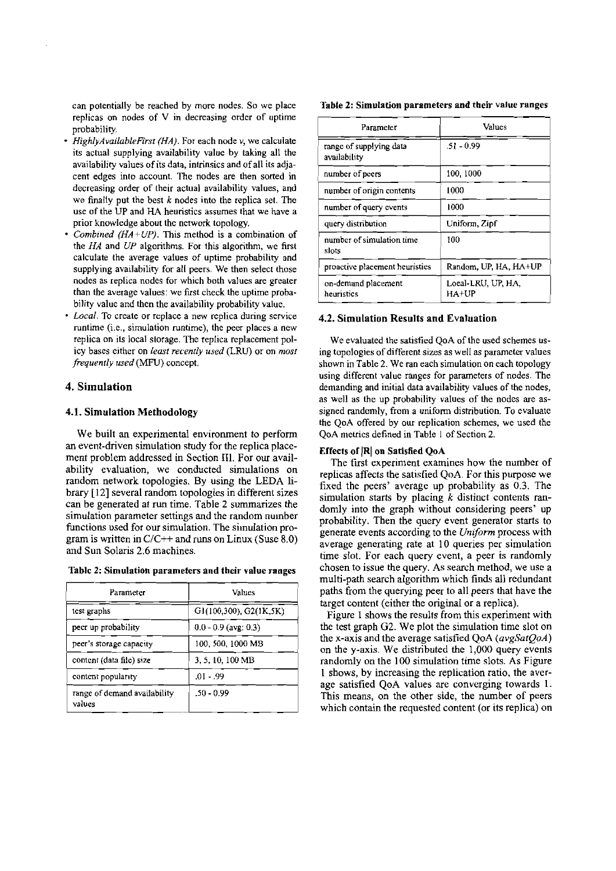can potentially be reached by more nodes. So we place replicas on nodes of V in decreasing order of uptime probability

- *HighlyAvailableFirst (HA).* For each node **V,** we calculate its actual supplying availability value by taking all the availability values of its data, intrinsics and of all its adjacent edges into account. The nodes are then sorted in decreasing order of their actual availability values, and we finally put the best  $k$  nodes into the replica set. The use of the **UP** and HA heuristics assumes that we have a prior knowledge about the network topology.
- *Combined (HA+UP).* This method is a combination of the *HA* and *UP* algorithms. For this algorithm, we first calculate the average values of uptime probability and supplying availability for all peers. We then select those nodes as replica nodes for which both values **are** greater than the average values: we first check the uptime probability value and then the availability probability value.
- Local. To create or replace a new replica during service mntime (i.e., simulation runtime), the peer places a new replica on its local storage. The replica replacement policy bases either on *least recently used* (LRU) or on *most frequently used (MFU)* concept.

# 4. Simulation

### 4.1. Simulation Methodology

We built an experimental environment to perform an event-driven simulation siudy for the replica placement problem addressed in Section 111. For our availahility evaluation, we conducted simulations on random network topologies. By using the LEDA library [12] several random topologies in different sizes can be generated at run time. Table **2** summarizes the simulation parameter settings and the random number functions used for our simulation. The simulation program is written in  $C/C++$  and runs on Linux (Suse 8.0) and Sun Solaris 2.6 macbines.

|  | Table 2: Simulation parameters and their value ranges |  |
|--|-------------------------------------------------------|--|
|  |                                                       |  |

| Parameter                              | Values                 |
|----------------------------------------|------------------------|
| test graphs                            | G1(100,300), G2(1K,5K) |
| peer up probability                    | $0.0 - 0.9$ (avg: 0.3) |
| peer's storage capacity                | 100, 500, 1000 MB      |
| content (data file) size               | 3, 5, 10, 100 MB       |
| content popularity                     | $.01-.99$              |
| range of demand availability<br>values | $.50 - 0.99$           |

| Table 2: Simulation parameters and their value ranges |  |  |
|-------------------------------------------------------|--|--|
|-------------------------------------------------------|--|--|

| Parameter                               | Values                        |  |
|-----------------------------------------|-------------------------------|--|
| range of supplying data<br>availability | $.51 - 0.99$                  |  |
| number of peers                         | 100, 1000                     |  |
| number of origin contents               | 1000                          |  |
| number of query events                  | 1000                          |  |
| query distribution                      | Uniform, Zipf                 |  |
| number of simulation time<br>slots      | 100                           |  |
| proactive placement heuristies          | Random, UP, HA, HA+UP         |  |
| on-demand placement<br>heuristics       | Loeal-LRU. UP, HA,<br>$HA+UP$ |  |

### 4.2. Simulation Results and Evaluation

We evaluated the satisfied QoA of the used schemes using topologies of different sizes as well **as** Parameter values shown in Table 2. We ran each simulation on each topology using different value ranges for parameters of nodes. The demanding and initial data availability values of the nodes, as well as the up probability values of the nodes are assigned randomly, from a uniform distribution. To evaluate the QoA offered by our replication schemes, we used the QoA metrics defined in Table I of Section **2.** 

# Elfects 01 **JRI** on Satisfied QoA

The first experiment examines how the number of replicas affects the satisfied QoA. For this purpose we fixed the peers' average up probability as 0.3. The simulation starts by placing  $k$  distinct contents randomly into the graph without considering peers' up probability. Then the query event generator starts to generate events according to the *Uniform* process with average generating rate at 10 queries per simulation time slot. For each query event, a peer is randomly chosen to issue the query. As search method, we use a multi-path search algorithm which finds all redundant paths from the querying peer to all peers that have the target content (either the original or a replica).

Figure 1 shows the results from this experiment with the test graph G2. We plot the simulation time slot on the X-axis and the average satisfied QoA *(avgSarQoA)*  on the y-axis. We distributed the 1,000 query events randomly on the 100 simulation time slots. As Figure 1 shows, hy increasing the replication ratio, the average satisfied QoA values are converging towards 1. This means, on the other side, the numher of peers which contain the requested content (or its replica) on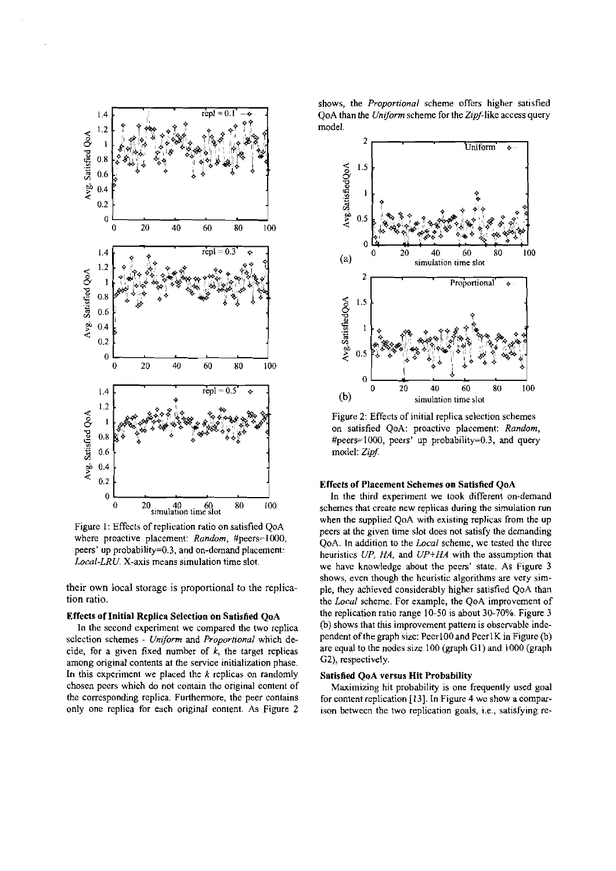

Figure I: Effects of replication ratio on satisfied QoA where proactive placement: *Random*, #peers=1000, peers' up probability=0.3, and on-demand placement: *Local-LRU* X-axis means simulation time slot.

their own local storage is proportional to the replication ratio.

## **Effects 01 Initial Rcplica Selection on Satisfied QoA**

In the second experiment we compared the two replica sclection schemes - *Uniform* and *Proportional* which de cide, for a given fixed number of  $k$ , the target replicas among original contents at the service initialization phase. In this experiment we placed the  $k$  replicas on randomly chosen peers which do not contain the original content of the corresponding replica. Furthermore, the peer contains only one replica for each original eontent. As Figure 2





Figure 2: Effects of initial replica selection schemes on satisfied QoA: proactive placement: *Random,*  #peers=1000, peers' up probability=O.3, and query model: Zipf.

### **Effects of Placement Schemes on Satisfied QoA**

In the third experiment we took different on-demand schemes that create new replicas during the simulation mn when the supplied QoA with existing replicas from the up peers at the given time slot does not satisfy the demanding QoA. In addition to the *Local* scheme, we tested the three heuristics *UP,* HA, and *UP+HA* with the assumption that we have knowledge about the peers' state. As Figure 3 shows, even though the heuristic algorithms are very simple, they achieved considerably higher satisfied QoA than the *Local* scheme. For example, the QoA improvement of the replication ratio range  $10-50$  is about 30-70%. Figure 3 (b) shows that this improvement pattem is ohservable independent of the graph sizc: Peer100 and Pcer1K in Figure (b) are equal to the nodes size 100 (graph GI) and 1000 (graph G2), respectively.

### **Satisfied QoA versus Hit Probahility**

Maximizing hit probability is one frequently used goal for content replication [13]. In Figure 4 we show a comparison betwecn the two replication goals, i.e., satisfying re-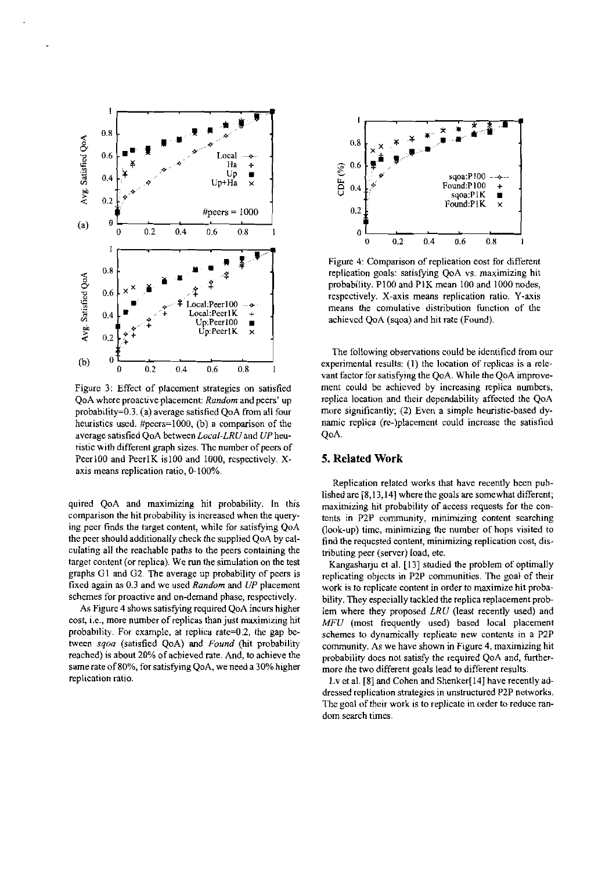

Figure 3: Effect of placement strategies on satisfied QoA where proactive placement: Random and peers' up probability=0.3. (a) average satisfied QoA from all four heuristics used.  $\# \text{peers} = 1000$ , (b) a comparison of the average satisfied QoA between Local-LRU and UP heuristic with different graph sizes. Thc number of peen of Peer100 and Peer1K is100 and 1000, respectively. Xaxis means replication ratio, 0- 100%.

quired QoA and maximizing hit probability. In this comparison the hit probability is increased when the querying peer finds the target content, while for satisfying QoA the peer should additionally check the supplied QoA by calculating all the reachable paths to the peers containing the target content (or replica). We tun the simulation on the test graphs G1 and G2 The average up probability of peers is fixed again as  $0.3$  and we used Random and  $UP$  placement schemes for proactive and on-demand phase, respectively.

As Figure 4 shows satisfying required QoA incurs higher cost, i.e., more number of replicas than just maximizing hit probability. For example, at replica rate=0.2, the gap between sqoa (satisfied QoA) and Found (hit probability reached) is about 20% of achieved rate. And, to achieve the same rate of SO%, for satisfying QoA, we need a 30% higher replication ratio.



Figure 4: Comparison of replieation eost for different replieation goals: satisfying QoA vs. maximizing hit probability. PI00 and PIK mean 100 and 1000 nodes, rcspectively. X-axis means replication ratio. Y-axis means the comulative distnbution function of the achievcd QoA (sqoa) and hit rate (Found).

The following observations could be identificd from our experimental results: (1) the location of replicas is a relevant factor for satisfying the QoA. While the QoA improvement could be achieved by increasing replica numbers, replica location and their dependability affected the QoA more significantly; (2) Even a simple heuristic-based dynamic replica (re-)placement could increase the satisfied QoA.

# **5. Related Work**

Replication related works that have recently been published are [8,13,14] where the goals are somewhat different; maximizing hit probability of access requests for the contents in P2P community, minimizing content searching (look-up) timc, minimizing the number of hops visited to find the requcsted content, minimizing replication cost, distributing peer (server) load, ete.

Kangasharju et al. [13] studied the problem of optimally replicating objects in P2P communities. The goal of their work is to replicate content in order to maximize hit probability. They especially tackled the replica replacement problem where they proposed LRU (least recently used) and MFU (most frequently used) based local placement schemes to dynamically replieate new contents in a P2P community. As we have shown in Figure 4, maximizing hit probability does not satisfy the required QoA and, furthermore the two different goals lead to different results.

Lv et al. 181 and Cohen and Shenker[l4] have recently addressed replication strategies in unstructured P2P networks. The goal of their work is to replicate in order to reduce random search times.